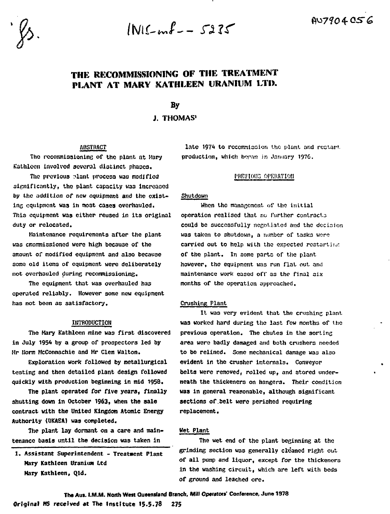$INIC<sub>em</sub>l - 5235$ 

# **THE RECOMMISSIONING OF THE TREATMENT PLANT AT MARY KATHLEEN URANIUM LTI>.**

By

J. THOMAS'

# **APSTRACT**

**Tho rocommissionins of tho plant ot Mary Kathleen involvod several distinct phases.**

The previous plant process was modified **significantly, the plant capacity was increased** by the addition of new equipment and the exist-**Int equipment was in most cases overhauled. This equipment was either reused in its original duty or relocated.**

**Maintenance requirements after the plant was cmoramissioned were high because of the amount of modified equipment and also because some old items of equipment were deliberately not overhauled during recommissioning.**

**The equipment that was overhauled has operated reliably. However some new equipment has not been as satisfactory.**

#### **INTRODUCTION**

**The Mary Kathleen mine was first discovered in July 1954 by a group of prospectors led by Mr Mora McConnachie and Mr Clem Walton.**

**Exploration work followed by metallurgical testing and then detailed plant design followed quickly with production beginning in mid 1958.**

**The plant operated for five years, finally shutting down in October 1963, when the sale contract with the United Kingdom Atomic Energy Authority (UKAEA) waa completed.**

**The plant lay dormant on a care and maintenance basis until the decision was taken in**

**1. Assistant Superintendent - Treatment Plant Mary Kathleen Uranium Ltd Mary Kathleen, Qld.**

late 1974 to rocommission the plant and restart. **production, which bnrnn in January 1976.**

# **PREVIOUS OPERATION**

# **Shutdown**

**When the management of the initial operation realised that no further contracts** could be successfully negotiated and the decision **was taken to shutdown, a lumber of tasks wero carried out to help with the expected restartii.r. of the plant. In some parts of the plant however, the equipment was run flat out. and maintenance work eased off as the final 3ix months of the operation approached.**

#### **Crushing Plant**

**It was very evident that the crushing plant waa worked hard during the last few months of the previous operation.** The chutes in the sorting **area were badly damaged and both crushers needed to be relined. Some mechanical damage was also evident in the crusher internals. Conveyor belts were removed, rolled up, and stored underneath the thickeners on hangers. Their condition waa in general reasonable, although significant sections of.belt were perished requiring replacement.**

## **Wet Plant**

**The wet end of the plant beginning at the grinding section was generally cleaned right out of all pump and liquor, except for the thickeners in the washing circuit, which are left with beds of ground and leached ore.**

**The Aus. I.M.M. North West Queensland Branch, Mill Operators' Conference, June 1978**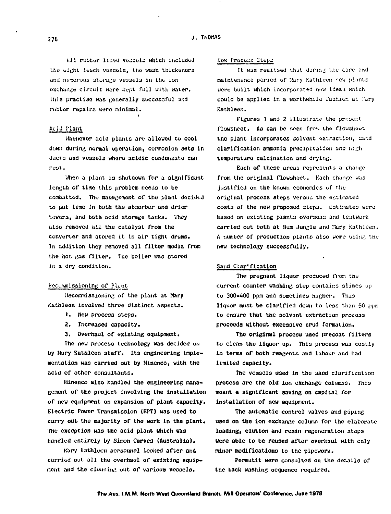All rubber lined vessels which included the eight leach vessels, the wash thickeners and numerous storage vessels in the ion **exchange circuit were kept full with water. Uiis practise was generally successful and rubber repairs were minimal.**

#### Acid Flant

**Whenever acid plants are allowed to cool down during nurnial operation, corrosion seta in Uucta and vessels where acidic condensate can rest.**

When a plant is shutdown for a algnificant length of time this problem needs to be **combatted. The management of the plant decided to put lime in both the absorber and drier towers, and both acid storage tanks. They also removed all the catalyst from the converter and stored it In air tight drums. In addition they removed all filter media from the hot cas filter. The boiler was stored in a dry condition.**

## **hc-cummissioning of PUnt**

**Hecoraraissioning of the plant at Mary Kathleen involved three distinct aspects.**

- **1. New process steps.**
- **2. Increased capacity.**
- **3. Overhaul of existing equipment.**

**The new process technology was decided on by Mary Kathleen staff. Its engineering implementation was carried out by Minenco, with the acid of other consultants.**

**Minenco also handled the engineering management of the project involving the installation of new equipment on expansion of plant capacity• Electric Power Transmission (EPT) was used to curry out the majority of the work in the plant. The exception was the acid plant which was handled entirely by Simon Carves (Australia).**

**Mary Kathleen personnel looked after and carried out all the overhaul of existing equipment and the cleaning out of various vessels.**

#### **New Process Steps**

It was realised that during the care and **maintenance period of Mary Kathleen <sup>r</sup>bv plants** were built which incorporated new ideas which **could be applied in a worthwhile fashion at i'ary Kathleen.**

**Figures 1 and 2 illustrate the present flowsheet. As can be seen frr-, the flowsheet the plant incorporates solvent extraction, cand** clarification ammonia precipitation and  $mgh$ **temperature calcination and drying.**

**Each of these areas representa a change from the original flowsheet. Each change wua justified on the known economics of the original process steps versus the estimated costs of the new proposed steps. Estimates wen; based on existing piants overseas and testwurk carried out both at Bum Jungle and Mary Kathleen.** A number of production plants also were using the **new technology successfully.**

# **Sand Clar\*fication**

**The pregnant liquor produced fron the current counter washing step contains slimes up to 300-400 ppm and sometimes higher. This liquor must be clarified down to less than 50 ppm to ensure that the solvent extraction process proceeds without excessive crud formation.**

**The original process used precoat filters to clean the liquor up. This process was costly in terms of both reagents and labour and had limited capacity.**

**The vessels used in the sand clarification process are the old ion exchange columns. This meant a significant saving on capital for installation of new equipment.**

**The automatic control valves and piping used on the ion exchange column for the elaborate loading, elution and resin regeneration steps were able to be reused after overhaul with enly minor modifications to the pipework.**

**Permutit were consulted on the details of the back washing sequence required.**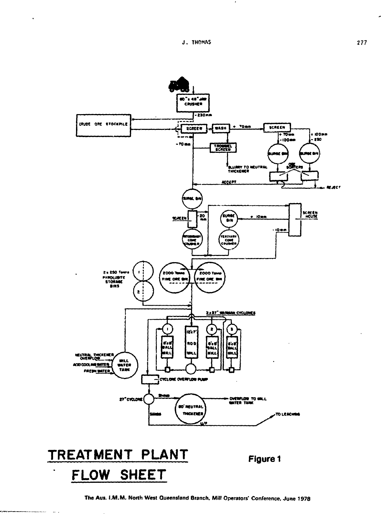$\ddot{\phantom{a}}$ 



The Aus. I.M.M. North West Queensland Branch, Mill Operators' Conference, June 1978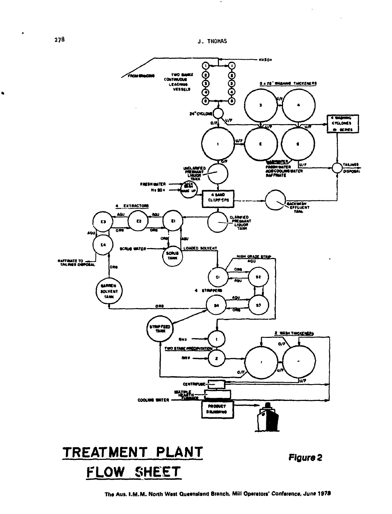

 $\bullet$ 

The Aus. I.M.M. North West Queensland Branch, Mill Operators' Conference, June 1978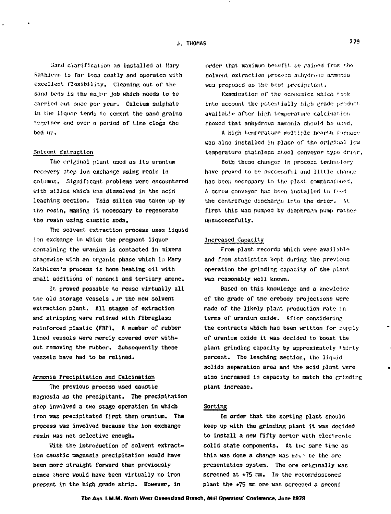Sand clarification as installed at Mary Kathleen is far less costly and operates with excellent flexibility. Cleaning out of the sand beds is the major job which needs to be carried out once per year. Calcium sulphate in the liquor tends to cement the sand grains 'orether and over a period of time clogs the bed up.

#### Solvent. Extraction

The original plant used as its uranium recovery itep ion exchange using reain in columns. Significant problems wero encountered with silica which was dissolved in the acid leaching section. This silica was taken up by tho resin, making it necessary to regenerate the resin using caustic soda.

The solvent extraction process uses liquid ion exchange in which the pregnant liquor containing the uranium is contacted in mixers stacewise with an organic phase which in Mary Kathleen's process is hone heating oil with small additions of nonancl and tertiary amine.

It. proved possible to reuse virtually all the old storage vessels  $\sqrt{r}$  the new solvent extraction plant. All stages of extraction and stripping were relined with fibreglass reinforced plastic (FRP), A number of rubber lined vessels were merely covered over without removing the rubber. Subsequently these vessels have had to be relined.

### Ammonia Precipitation and Calcination

The previous process used caustic magnesia as the precipitant. The precipitation step involved a two stage operation in which iron was precipitated first then uranium. The process was involved because the ion exchange resin was not selective enough.

With the introduction of solvent extraction caustic magnesia precipitation would have been more straight forward than previously since there would have been virtually no iron present in the high grade strip. However, in

order that maximum benefit we rained from the solvent extraction process aniverous ammoniawas proposed as the best precipitant.

Examination of the economics which took into account the potentially high grade product available after high temperature calcination showed that anhydrous ammonia should be used.

A high temperature multiple hearth furnace was also installed in place of the original low temperature stainless steel conveyor type drier.

Both these changes in process technolory have proved to be successful and little change has been nocessary to the plant commissioned, A screw conveyor has been installed to feed the centrifuge discharge into the drier. At first this was pumped by diaphragm pump rather unsuccessfully.

#### Increased Capacity

From plant records which were available and from statistics kept during the previous operation the grinding capacity of the plant was reasonably well known.

Based on this knowledge and a knowledge of the grade of the orebody projections were made of the likely plant, production rato in terms of uranium oxide. After considering the contracts which had been written for supply of uranium oxide it was decided to boost the plant grinding capacity by approximately thirty percent. The leaching section, the liquid solids separation area and the acid plant were also increased in capacity to match the grinding plant increase.

#### Sorting

In order that the sorting plant should keep up with the grinding plant it was decided to install a new fifty sorter with electronic solid state components. At the same time as this was done a change was  $m \epsilon$  to the ore presentation system. The ore originally was screened at +75 mm. In the recommissioned plant the \*75 ram ore was screened a second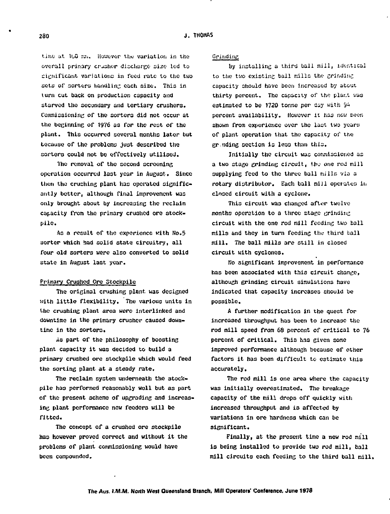**tiir.o at 1uO siu. However thu variation in the** overall primary crusher discharge size led to **^icnificant variations in feed rate to the two sets of sorters liandlin;: each size. This in iurn cut back on production capacity and starved the secondary and tertiary crushers. Commissioning of the sorters did not occur at the beginning of 1976 a3 for the rest or the plant. This occurred several months later but because of the problems jU3t described the sorters could not bo effectively utilised.**

**The removal of the second screening operation occurred last year in August. Since then the crushing plant has operated significantly better, although final improvement was only brouGht about by increasing the reclaim capacity from the primary crushed ore stockpile.**

**As a result of the experience with Ho.5 sorter which had solid state circuitry, all four old sorters were also converted to solid state in August last year.**

# **Primary Crushed Ore Stockpile**

**The original crushing plant, was designed with little flexibility. The various units in the crushing plant area were interlinked and downtime in the primary crusher caused downtime in the sorters.**

**iis part of the philosophy of boosting plant capacity it was decided to build a primary crushed ore stockpile which would feed the sorting plant at a steady rate.**

**The reclaim system underneath the stockpile has performed reasonably well but as part of the present scheme of upgrading and increasing plant performance new feeders will be fitted.**

**The concept of a crushed ore stockpile has however proved correct and without it the problems of plant commissioning would have been compounded.**

## **Grinding**

**by installing a third ball mill, identical** to the two existing ball mills the grinding **capacity should have been increased by about thirty percent. The capacity of the plant was** estimated to be 1720 tonne per day with 94 percent availability. However it has now been **shown from experience over the laut two years of plant operation that the capacity of the gr.tiding section is less than this.**

**Initially the circuit was commissioned as** a two stage grinding circuit, the one rod mill **supplying feed to the three ball mills via a** rotary distributor. Each ball mill operates in **closed circuit with a cyclone.**

**This circuit was changed after twelve months operation to a three stage grinding circuit with the one rod mill feeding two ball**  $m$ ills and they in turn feeding the third ball **mill. The ball mills are still in closed circuit with cyclones.**

**Ho significant improvement in performance has been associated with this circuit change, although grinding circuit simulations have indicated that capacity increases should be possible.**

**A further modification in the quest for increased throughput has been to increase the rod mill speed from 68 percent of critical to 76 percent of critical. This has given some improved performance although because of other factors it has been difficult to estimate this accurately.**

**The rod mill is one area where the capacity was initially overestimated. The breakage capacity of the mill drops off quickly with increased throughput and is affected by variations in ore hardness which can be significant.**

**Finally, at the present time a new rod mill is being installed to provide two rod mill, ball mill circuits each feeding to the third ball mill.**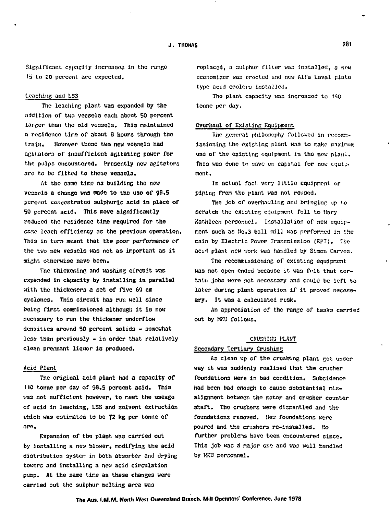**Significant capacity increases in the range 15 to 20 percent are expected.**

#### **Leaching and LSS**

**The leaching plant was expanded by the addition of two vessels each about 50 percent larger than the old vessels. This maintained a residence time of about 8 hours through tne train. However these two now vcsnols had aGliators of insufficient agitating power for the pulps encountered. Presently now agitators are to bo fitted to those vessels.**

At the same time as building the new **vessels a chance was made to tho uao of 9B.5 percent concentrated sulphuric acid in place of 50 percent acid. This move significantly reduced the residence tine required for the ssco leach efficiency as the previous operation. This in turn meant that the poor performance of the two new vessels was not as important as it might otherwise have been.**

**The thickening and washing circuit was expanded in capacity by installing in parallel with the thickeners a set of five 69 cm cyclones. This circuit has run well since being first commissioned although it is now necessary to run the thickener underflow densities around 50 percent solids - somewhat less than previously - in order that relatively clean pregnant liquor is produced.**

#### **ftcid Plant**

**The original acid plant had a capacity of 110 tonne per day of 98.5 percent acid. This was not sufficient howeverf to meet the useage cf acid in leaching, LSS and solvent extraction which was estimated to be 72 kg per tonne of ore.**

**Expansion of the plant was carried out by installing a new blower, modifying the acid distribution systen in both absorber and drying towers and installing a new acid circulation pump. At the sane time as these changes were carried out the sulphur melting area was**

**replaced, a sulphur filter was installed, a now economizer was erected and new Alfa Laval plate type acid coolers installed.**

**Tho plant capacity was increased to 140 tonne per day.**

## **Overhaul of Existing Equipment**

The general philosophy followed in recomm**iosioning tho existins plant wao to make maximum use of tho existing equipment in tho new plant. This wao dono to save on capital for now cquiv mont.**

**In actual fact, very little equipment, or piping from Uio plant wao not rouaod.**

**Tho Job of overhauling ami bringing up to scratch the existing equipment fell to tiary Kathleen personnel. Installation of new equipment such as Ho.3 ball mill was perforncd in the main by Electric Power Transmission (EPT). The** acid plant new work was handled by Simon Carves.

The recommissioning of existing equipment **was not open ended because it was felt that certain jobs were not necessary and could be left to** later during plant operation if it proved necess**ary, It was a calculated risk.**

An appreciation of the range of tasks carried **out by MKU follows.**

#### **CRUSHIK3 PLANT**

## **Secondary Tertiary Crushing**

As clean up of the crushing plant got under **way it was suddenly realised that the crusher foundations were in bad condition. Subsidence had been bad enough to cause substantial misalignment between the motor and crusher counter shaft. The crushers were dismantled and the foundations removed. Hew foundations were poured and the crushers re-installed. I.'o further problems have been encountered since. This job was a major oni and was well handled by MKU personnel.**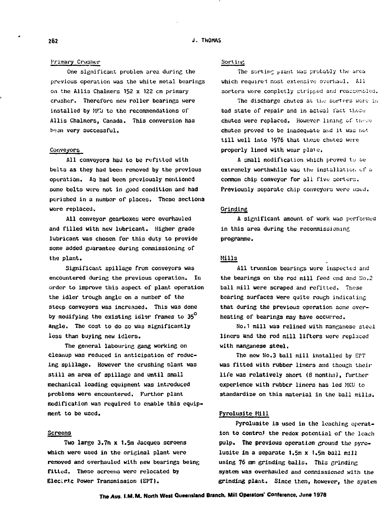# **1'riroary Cru3her**

**One significant problem area during the previous operation was the white metal bearings on the Allis Chalmers 152 x 122 cm primary crusher. Therefore new roller bearings were installed by MK'J to the recommendations of Allis Chalmers, Canada. This conversion has** been very successful.

#### **Conveyors**

**All conveyors hail to be refitted with belts 33 they had been removed by the previous operation. As had boon previously mentioned somo bolts wore not in good condition and had perished in a number of places. These sections were replaced.**

**All conveyor gearboxes wore overhauled and filled with new lubricant. Higher grade lubricant was chosen for this duty to provide some added guarantee during commissioning of the plant.**

**Significant spillage from conveyors was encountered during the previous operation. In order to improve this aspect of plant operation the idler trough angle on a number of the steep conveyors was increased. This was done by modifying the existing idl^r frames to 35° angle. The cost to do so was significantly less than buying new idlers.**

**The general labouring gang working on cleanup was reduced in anticipation of reducing spillage. However the crushing plant was still an area of spillage and until small mechanical loading equipment was introduced problems were encountered. Further plant modification was required to enable this equipment to be used.**

# **Screens**

**Two large 3.7m x 1.5m Jacques screens which were used in the original plant were removed and overhauled with new bearings being fitted. These screens were relocated by Electric Power Transmission (EPT).**

## **Sorting**

The sorting plant was probably the area **which requirei nost extensive- overhaul. All** sorters were completly stripped and reassempled.

The discharge chutes at the sorters were inbad state of repair and in actual fact these chutes were replaced. However lining of these chutes proved to be inadequate and it was not **till well into 1976 that these chutes were properly lined with wear plate.**

**A small modification which proved to ue extremely worthwhile waa thu installation cf a** common chip conveyor for all five sorters. Previously separate chip conveyors were used.

#### **Grinding**

**A significant amount of work was performed in this area during the recommissioning programme.**

# **Hills**

**All trunnion bearings were inspected and the bearings on the rod mill feed end and !Jo,2 ball mill were scraped and refitted. These bearing surfaces were quite rough indicating that during the previous operation some overheating of bearings may have occurred.**

**No.1 mill was relined with manganese stool liners ttnd tho rod mill lifters were replaced with manganese steel.**

**The new No.3 ball mill installed by EPT was fitted with rubber liners and though their life was relatively short (8 month:?), further experience with rubber linors has led MKU to standardize on this material in tho ball mills.**

#### **Pyrolusite Hill**

**Pyroluaite is used in the leaching operation to control the redox potential of the leach pulp. The previous operation ground the pyrolusite in a separate 1.5m x 1.5m ball mill using 76 ram grinding balls. Thia grinding ayatera was overhauled and commissioned with the grinding plant. Since then, however, the system**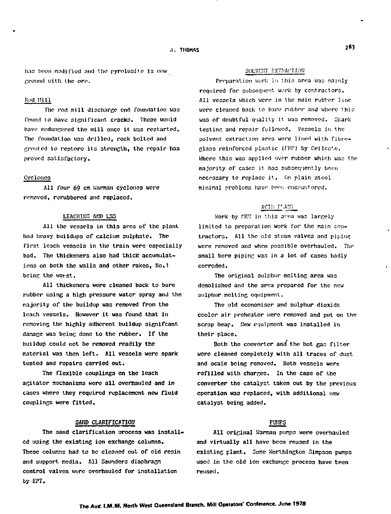**li.ts been modified and the pyrolu3ite Is now ground uith the ore.**

## **Hod Mill**

The rod mill discharge end foundation was **found to have significant, cracks. These would** have endangered the mill once it was restarted. **The foundation vaa drilled, rock bolted and crosited to restore its strength, the repair hao proved satisfactory.**

#### **Cyclones**

**All Tour 69 en Unman cyclones wore removed, rerubborod and replaced.**

## **LEACHIUG A11D LSS**

**All the vessels in this area of the plant had heavy buildups of calcium sulphate. The first leach vessels in the train were especially bad. The thickeners also had thick accumulations on both the walls and other rakes, No.1 being the Hos-st.**

**All thickeners were cleaned back to bare rubber using a high pressure water spray and the majority of the buildup was removed from the leach vessels. However it was found that in removing the highly adherent buildup signifcant dasage was boim; done to the rubber. If the buildup could not be removed readily the material was then left. All vessels were spark tested and repairs carried out.**

**The flexible couplings on the leach agitator mechanisms were all overhauled and in cases where they required replacement new fluid couplings were fitted.**

## **SAND** CLARIFICATION

**The sand clarification uroccss was installed using the existing ion exchange columns. These columns had to be cleaned out of old resin and support media. All Saunders diaphragm control valves were overhauled for installation by EPT.**

#### SOLVENT EXTRACTION

Preparation work in this area was mainly **required for subsequent work by contractors. All vessels which were in the main rubber line were cleaned back to bare rubber and where this was of doubtful quality it was removed. Spark testing and repair followed. Vessels in tho** solvent extraction area were lined with fibre-**Glaos reinforced plastic (f'HP) by CPJICO'.C-. Whore thin wan applied over rubber which wan tho majority of ca3cs it has oubsocpently boon necessary to replace it. On p],ain steel**  $minimal$  problems have been encountered.

## ACID PLANT

**Work by TKU in this area was largely limited to preparation work for the nain contractors. All the old steam valves and piping were removed and when possible overhauled. The small bore pipinc was in a lot of cases badly corroded.**

**The original sulphur melting area was demolished and the area prepared for the new sulphur melting equipment.**

**The old economiser and sulphur dioxide cooler air preheater were removed and put on the scrap heap. Hew equipment wa3 installed in their place.**

**Both the converter and the hot gas filter were cleaned completely with all traces of dust and scale being removed. Both vessels were refilled with charges. in the case of the converter the catalyst taken out by the previous operation was replaced, with additional new catalyst being added.**

# **PUHPS**

**All original Hanran punps were overhauled and virtually all have been reused in the existing plant. Some Worthington Simpson pumps used in the old ion exchange process have teen reused.**